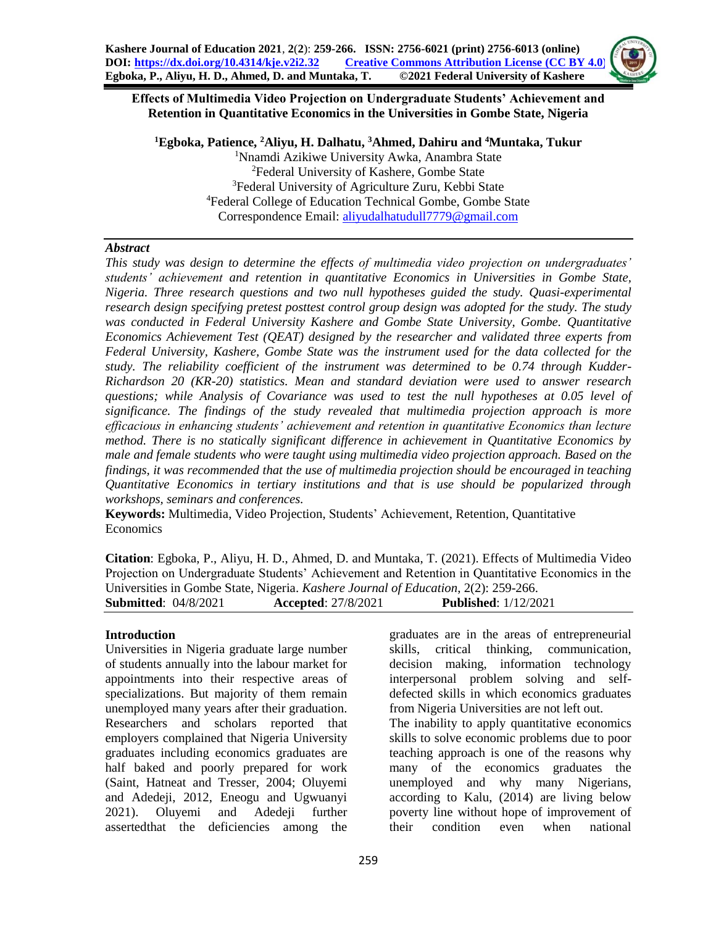#### **Effects of Multimedia Video Projection on Undergraduate Students' Achievement and Retention in Quantitative Economics in the Universities in Gombe State, Nigeria**

**Egboka, Patience, <sup>2</sup>Aliyu, H. Dalhatu, <sup>3</sup>Ahmed, Dahiru and <sup>4</sup>Muntaka, Tukur** Nnamdi Azikiwe University Awka, Anambra State Federal University of Kashere, Gombe State Federal University of Agriculture Zuru, Kebbi State Federal College of Education Technical Gombe, Gombe State Correspondence Email: [aliyudalhatudull7779@gmail.com](mailto:aliyudalhatudull7779@gmail.com)

## *Abstract*

*This study was design to determine the effects of multimedia video projection on undergraduates' students' achievement and retention in quantitative Economics in Universities in Gombe State, Nigeria. Three research questions and two null hypotheses guided the study. Quasi-experimental research design specifying pretest posttest control group design was adopted for the study. The study was conducted in Federal University Kashere and Gombe State University, Gombe. Quantitative Economics Achievement Test (QEAT) designed by the researcher and validated three experts from Federal University, Kashere, Gombe State was the instrument used for the data collected for the study. The reliability coefficient of the instrument was determined to be 0.74 through Kudder-Richardson 20 (KR-20) statistics. Mean and standard deviation were used to answer research questions; while Analysis of Covariance was used to test the null hypotheses at 0.05 level of significance. The findings of the study revealed that multimedia projection approach is more efficacious in enhancing students' achievement and retention in quantitative Economics than lecture method. There is no statically significant difference in achievement in Quantitative Economics by male and female students who were taught using multimedia video projection approach. Based on the findings, it was recommended that the use of multimedia projection should be encouraged in teaching Quantitative Economics in tertiary institutions and that is use should be popularized through workshops, seminars and conferences.* 

**Keywords:** Multimedia, Video Projection, Students' Achievement, Retention, Quantitative Economics

**Citation**: Egboka, P., Aliyu, H. D., Ahmed, D. and Muntaka, T. (2021). Effects of Multimedia Video Projection on Undergraduate Students' Achievement and Retention in Quantitative Economics in the Universities in Gombe State, Nigeria. *Kashere Journal of Education*, 2(2): 259-266. **Submitted**: 04/8/2021 **Accepted**: 27/8/2021 **Published**: 1/12/2021

## **Introduction**

Universities in Nigeria graduate large number of students annually into the labour market for appointments into their respective areas of specializations. But majority of them remain unemployed many years after their graduation. Researchers and scholars reported that employers complained that Nigeria University graduates including economics graduates are half baked and poorly prepared for work (Saint, Hatneat and Tresser, 2004; Oluyemi and Adedeji, 2012, Eneogu and Ugwuanyi 2021). Oluyemi and Adedeji further assertedthat the deficiencies among the

graduates are in the areas of entrepreneurial skills, critical thinking, communication, decision making, information technology interpersonal problem solving and selfdefected skills in which economics graduates from Nigeria Universities are not left out. The inability to apply quantitative economics skills to solve economic problems due to poor teaching approach is one of the reasons why many of the economics graduates the unemployed and why many Nigerians,

according to Kalu, (2014) are living below poverty line without hope of improvement of their condition even when national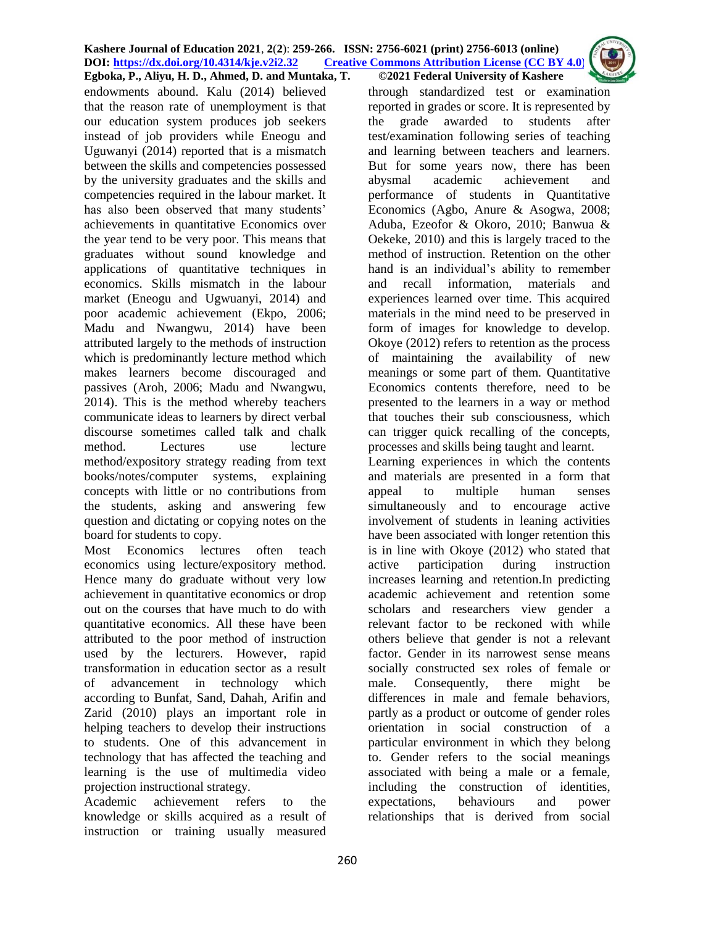endowments abound. Kalu (2014) believed that the reason rate of unemployment is that our education system produces job seekers instead of job providers while Eneogu and Uguwanyi (2014) reported that is a mismatch between the skills and competencies possessed by the university graduates and the skills and competencies required in the labour market. It has also been observed that many students' achievements in quantitative Economics over the year tend to be very poor. This means that graduates without sound knowledge and applications of quantitative techniques in economics. Skills mismatch in the labour market (Eneogu and Ugwuanyi, 2014) and poor academic achievement (Ekpo, 2006; Madu and Nwangwu, 2014) have been attributed largely to the methods of instruction which is predominantly lecture method which makes learners become discouraged and passives (Aroh, 2006; Madu and Nwangwu, 2014). This is the method whereby teachers communicate ideas to learners by direct verbal discourse sometimes called talk and chalk method. Lectures use lecture method/expository strategy reading from text books/notes/computer systems, explaining concepts with little or no contributions from the students, asking and answering few question and dictating or copying notes on the board for students to copy.

Most Economics lectures often teach economics using lecture/expository method. Hence many do graduate without very low achievement in quantitative economics or drop out on the courses that have much to do with quantitative economics. All these have been attributed to the poor method of instruction used by the lecturers. However, rapid transformation in education sector as a result of advancement in technology which according to Bunfat, Sand, Dahah, Arifin and Zarid (2010) plays an important role in helping teachers to develop their instructions to students. One of this advancement in technology that has affected the teaching and learning is the use of multimedia video projection instructional strategy.

Academic achievement refers to the knowledge or skills acquired as a result of instruction or training usually measured

through standardized test or examination reported in grades or score. It is represented by the grade awarded to students after test/examination following series of teaching and learning between teachers and learners. But for some years now, there has been abysmal academic achievement and performance of students in Quantitative Economics (Agbo, Anure & Asogwa, 2008; Aduba, Ezeofor & Okoro, 2010; Banwua & Oekeke, 2010) and this is largely traced to the method of instruction. Retention on the other hand is an individual's ability to remember and recall information, materials and experiences learned over time. This acquired materials in the mind need to be preserved in form of images for knowledge to develop. Okoye (2012) refers to retention as the process of maintaining the availability of new meanings or some part of them. Quantitative Economics contents therefore, need to be presented to the learners in a way or method that touches their sub consciousness, which can trigger quick recalling of the concepts, processes and skills being taught and learnt.

Learning experiences in which the contents and materials are presented in a form that appeal to multiple human senses simultaneously and to encourage active involvement of students in leaning activities have been associated with longer retention this is in line with Okoye (2012) who stated that active participation during instruction increases learning and retention.In predicting academic achievement and retention some scholars and researchers view gender a relevant factor to be reckoned with while others believe that gender is not a relevant factor. Gender in its narrowest sense means socially constructed sex roles of female or male. Consequently, there might be differences in male and female behaviors, partly as a product or outcome of gender roles orientation in social construction of a particular environment in which they belong to. Gender refers to the social meanings associated with being a male or a female, including the construction of identities, expectations, behaviours and power relationships that is derived from social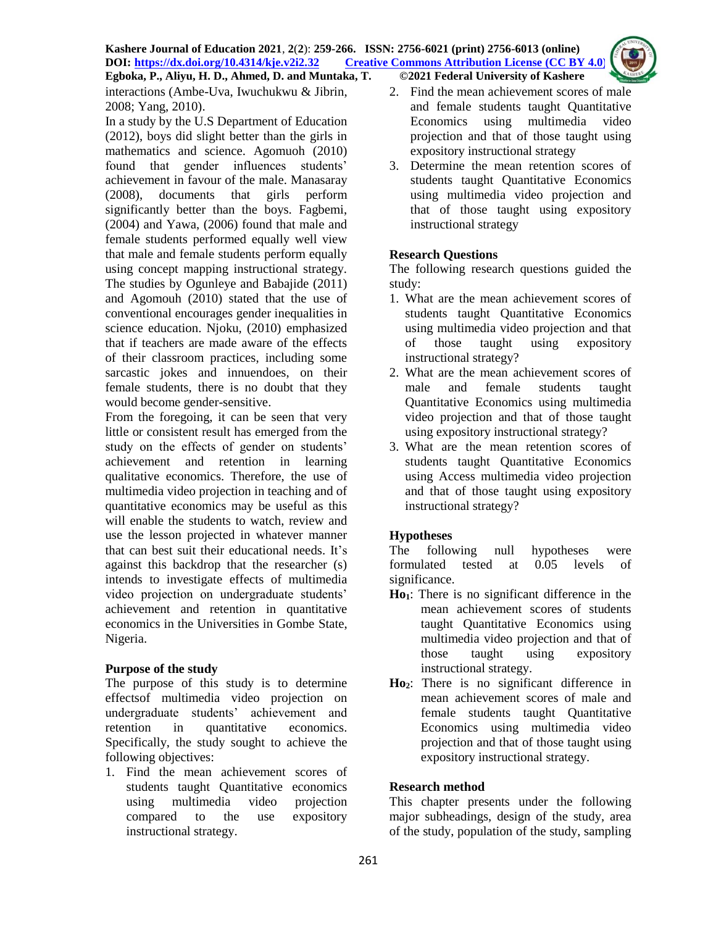interactions (Ambe-Uva, Iwuchukwu & Jibrin, 2008; Yang, 2010).

In a study by the U.S Department of Education (2012), boys did slight better than the girls in mathematics and science. Agomuoh (2010) found that gender influences students' achievement in favour of the male. Manasaray (2008), documents that girls perform significantly better than the boys. Fagbemi, (2004) and Yawa, (2006) found that male and female students performed equally well view that male and female students perform equally using concept mapping instructional strategy. The studies by Ogunleye and Babajide (2011) and Agomouh (2010) stated that the use of conventional encourages gender inequalities in science education. Njoku, (2010) emphasized that if teachers are made aware of the effects of their classroom practices, including some sarcastic jokes and innuendoes, on their female students, there is no doubt that they would become gender-sensitive.

From the foregoing, it can be seen that very little or consistent result has emerged from the study on the effects of gender on students' achievement and retention in learning qualitative economics. Therefore, the use of multimedia video projection in teaching and of quantitative economics may be useful as this will enable the students to watch, review and use the lesson projected in whatever manner that can best suit their educational needs. It's against this backdrop that the researcher (s) intends to investigate effects of multimedia video projection on undergraduate students' achievement and retention in quantitative economics in the Universities in Gombe State, Nigeria.

## **Purpose of the study**

The purpose of this study is to determine effectsof multimedia video projection on undergraduate students' achievement and retention in quantitative economics. Specifically, the study sought to achieve the following objectives:

1. Find the mean achievement scores of students taught Quantitative economics using multimedia video projection compared to the use expository instructional strategy.

- 2. Find the mean achievement scores of male and female students taught Quantitative Economics using multimedia video projection and that of those taught using expository instructional strategy
- 3. Determine the mean retention scores of students taught Quantitative Economics using multimedia video projection and that of those taught using expository instructional strategy

# **Research Questions**

The following research questions guided the study:

- 1. What are the mean achievement scores of students taught Quantitative Economics using multimedia video projection and that of those taught using expository instructional strategy?
- 2. What are the mean achievement scores of male and female students taught Quantitative Economics using multimedia video projection and that of those taught using expository instructional strategy?
- 3. What are the mean retention scores of students taught Quantitative Economics using Access multimedia video projection and that of those taught using expository instructional strategy?

# **Hypotheses**

The following null hypotheses were formulated tested at 0.05 levels of significance.

- **Ho1**: There is no significant difference in the mean achievement scores of students taught Quantitative Economics using multimedia video projection and that of those taught using expository instructional strategy.
- **Ho2**: There is no significant difference in mean achievement scores of male and female students taught Quantitative Economics using multimedia video projection and that of those taught using expository instructional strategy.

## **Research method**

This chapter presents under the following major subheadings, design of the study, area of the study, population of the study, sampling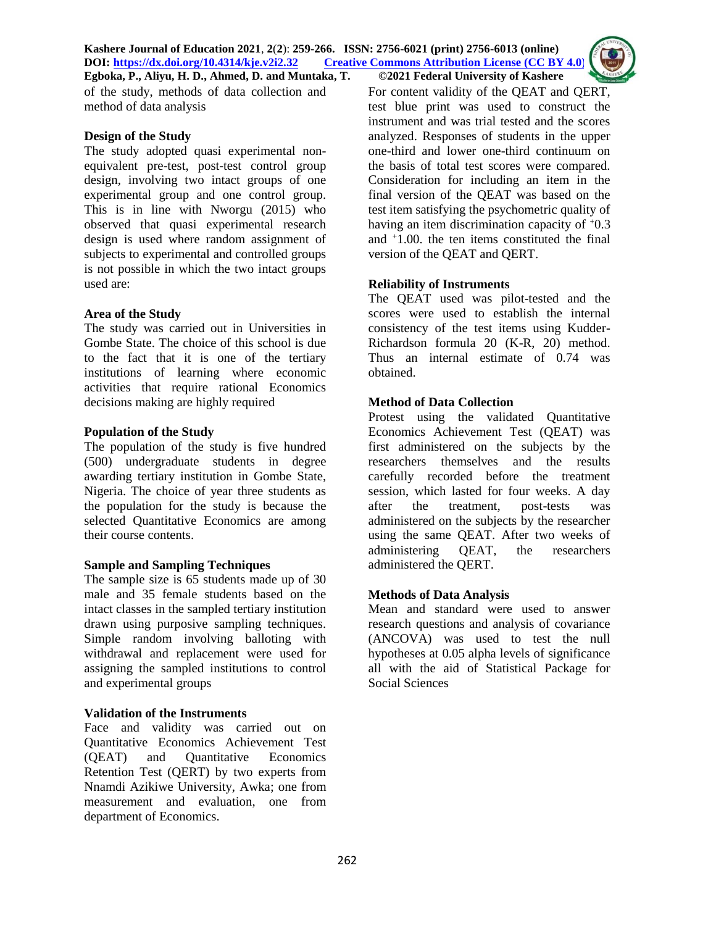of the study, methods of data collection and method of data analysis

#### **Design of the Study**

The study adopted quasi experimental nonequivalent pre-test, post-test control group design, involving two intact groups of one experimental group and one control group. This is in line with Nworgu (2015) who observed that quasi experimental research design is used where random assignment of subjects to experimental and controlled groups is not possible in which the two intact groups used are:

#### **Area of the Study**

The study was carried out in Universities in Gombe State. The choice of this school is due to the fact that it is one of the tertiary institutions of learning where economic activities that require rational Economics decisions making are highly required

#### **Population of the Study**

The population of the study is five hundred (500) undergraduate students in degree awarding tertiary institution in Gombe State, Nigeria. The choice of year three students as the population for the study is because the selected Quantitative Economics are among their course contents.

## **Sample and Sampling Techniques**

The sample size is 65 students made up of 30 male and 35 female students based on the intact classes in the sampled tertiary institution drawn using purposive sampling techniques. Simple random involving balloting with withdrawal and replacement were used for assigning the sampled institutions to control and experimental groups

## **Validation of the Instruments**

Face and validity was carried out on Quantitative Economics Achievement Test (QEAT) and Quantitative Economics Retention Test (QERT) by two experts from Nnamdi Azikiwe University, Awka; one from measurement and evaluation, one from department of Economics.

For content validity of the QEAT and QERT, test blue print was used to construct the instrument and was trial tested and the scores analyzed. Responses of students in the upper one-third and lower one-third continuum on the basis of total test scores were compared. Consideration for including an item in the final version of the QEAT was based on the test item satisfying the psychometric quality of having an item discrimination capacity of  $+0.3$ and <sup>+</sup>1.00. the ten items constituted the final version of the QEAT and QERT.

## **Reliability of Instruments**

The QEAT used was pilot-tested and the scores were used to establish the internal consistency of the test items using Kudder-Richardson formula 20 (K-R, 20) method. Thus an internal estimate of 0.74 was obtained.

## **Method of Data Collection**

Protest using the validated Quantitative Economics Achievement Test (QEAT) was first administered on the subjects by the researchers themselves and the results carefully recorded before the treatment session, which lasted for four weeks. A day after the treatment, post-tests was administered on the subjects by the researcher using the same QEAT. After two weeks of administering QEAT, the researchers administered the QERT.

## **Methods of Data Analysis**

Mean and standard were used to answer research questions and analysis of covariance (ANCOVA) was used to test the null hypotheses at 0.05 alpha levels of significance all with the aid of Statistical Package for Social Sciences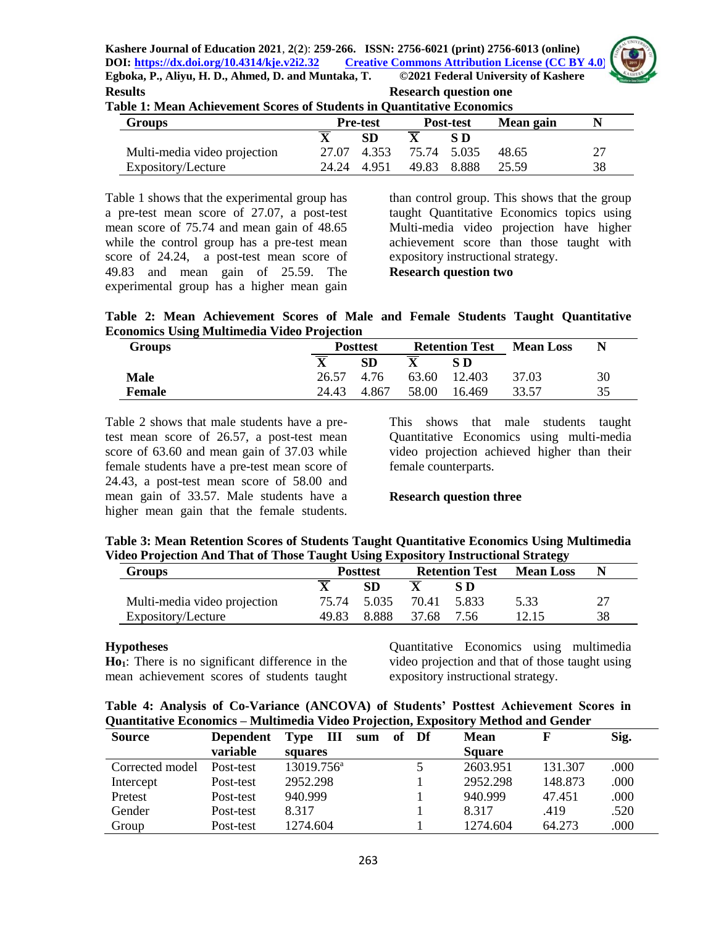

| <b>Results</b>                                                                | <b>Research question one</b> |
|-------------------------------------------------------------------------------|------------------------------|
| <b>Table 1: Mean Achievement Scores of Students in Quantitative Economics</b> |                              |

| <b>Groups</b>                | <b>Pre-test</b><br><b>Post-test</b> |             | Mean gain               |             |       |    |
|------------------------------|-------------------------------------|-------------|-------------------------|-------------|-------|----|
|                              |                                     | SD          |                         | S D         |       |    |
| Multi-media video projection |                                     |             | 27.07 4.353 75.74 5.035 |             | 48.65 | 27 |
| Expository/Lecture           |                                     | 24.24 4.951 |                         | 49.83 8.888 | 25.59 | 38 |

Table 1 shows that the experimental group has a pre-test mean score of 27.07, a post-test mean score of 75.74 and mean gain of 48.65 while the control group has a pre-test mean score of 24.24, a post-test mean score of 49.83 and mean gain of 25.59. The experimental group has a higher mean gain

than control group. This shows that the group taught Quantitative Economics topics using Multi-media video projection have higher achievement score than those taught with expository instructional strategy. **Research question two**

**Table 2: Mean Achievement Scores of Male and Female Students Taught Quantitative Economics Using Multimedia Video Projection**

| <b>Groups</b> |                         | <b>Posttest</b> |       | <b>Retention Test</b> | <b>Mean Loss</b> | N  |
|---------------|-------------------------|-----------------|-------|-----------------------|------------------|----|
|               | $\overline{\mathbf{X}}$ | SD              |       | S D                   |                  |    |
| <b>Male</b>   | 26.57                   | 4.76            | 63.60 | 12.403                | 37.03            | 30 |
| <b>Female</b> | 24.43                   | 4.867           | 58.00 | 16.469                | 33.57            | 35 |

Table 2 shows that male students have a pretest mean score of 26.57, a post-test mean score of 63.60 and mean gain of 37.03 while female students have a pre-test mean score of 24.43, a post-test mean score of 58.00 and mean gain of 33.57. Male students have a higher mean gain that the female students.

This shows that male students taught Quantitative Economics using multi-media video projection achieved higher than their female counterparts.

## **Research question three**

| Table 3: Mean Retention Scores of Students Taught Quantitative Economics Using Multimedia |  |
|-------------------------------------------------------------------------------------------|--|
| Video Projection And That of Those Taught Using Expository Instructional Strategy         |  |

| <b>Groups</b>                | <b>Posttest</b> |             | <b>Retention Test</b> |       | <b>Mean Loss</b> |    |
|------------------------------|-----------------|-------------|-----------------------|-------|------------------|----|
|                              |                 | <b>SD</b>   |                       | S D   |                  |    |
| Multi-media video projection |                 | 75.74 5.035 | 70.41                 | 5.833 | 5.33             | 27 |
| Expository/Lecture           | 49.83           | 8.888       | 37.68                 | -7.56 |                  | 38 |

## **Hypotheses**

**Ho1**: There is no significant difference in the mean achievement scores of students taught

Quantitative Economics using multimedia video projection and that of those taught using expository instructional strategy.

| Table 4: Analysis of Co-Variance (ANCOVA) of Students' Posttest Achievement Scores in |  |
|---------------------------------------------------------------------------------------|--|
| Quantitative Economics – Multimedia Video Projection, Expository Method and Gender    |  |

| <b>Source</b>   | <b>Dependent</b> | $\mathbf{H}$<br>Type   | sum | of Df | <b>Mean</b>   |         | Sig. |
|-----------------|------------------|------------------------|-----|-------|---------------|---------|------|
|                 | variable         | squares                |     |       | <b>Square</b> |         |      |
| Corrected model | Post-test        | $13019.756^{\text{a}}$ |     |       | 2603.951      | 131.307 | .000 |
| Intercept       | Post-test        | 2952.298               |     |       | 2952.298      | 148.873 | .000 |
| Pretest         | Post-test        | 940.999                |     |       | 940.999       | 47.451  | .000 |
| Gender          | Post-test        | 8.317                  |     |       | 8.317         | .419    | .520 |
| Group           | Post-test        | 1274.604               |     |       | 1274.604      | 64.273  | .000 |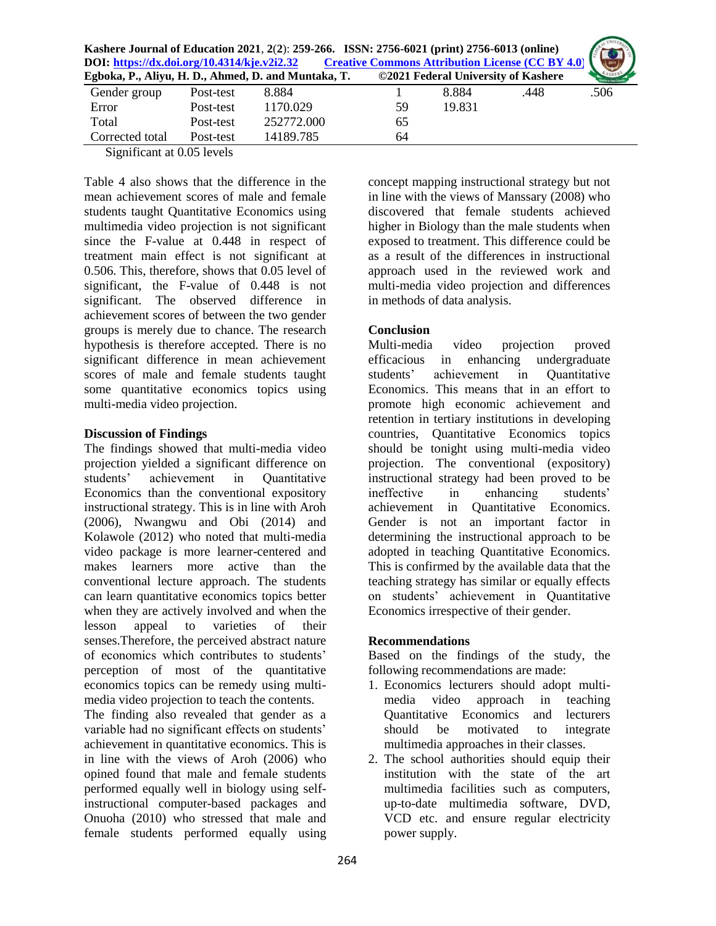| Kashere Journal of Education 2021, 2(2): 259-266. ISSN: 2756-6021 (print) 2756-6013 (online) | 266. ISSN: 2756-6021 (print) 2756-6013 (online)<br>Creative Commons Attribution License (CC BY 4.0) |               |
|----------------------------------------------------------------------------------------------|-----------------------------------------------------------------------------------------------------|---------------|
| DOI: https://dx.doi.org/10.4314/kje.v2i2.32                                                  |                                                                                                     |               |
| Egboka, P., Aliyu, H. D., Ahmed, D. and Muntaka, T.                                          |                                                                                                     |               |
| $\sim$ 0.001                                                                                 |                                                                                                     | $\sim$ $\sim$ |

| Gender group    | Post-test | 8.884      |    | 8.884  | .448 | .506 |
|-----------------|-----------|------------|----|--------|------|------|
| Error           | Post-test | 1170.029   | 59 | 19.831 |      |      |
| Total           | Post-test | 252772.000 | 65 |        |      |      |
| Corrected total | Post-test | 14189.785  | 64 |        |      |      |

Significant at 0.05 levels

Table 4 also shows that the difference in the mean achievement scores of male and female students taught Quantitative Economics using multimedia video projection is not significant since the F-value at 0.448 in respect of treatment main effect is not significant at 0.506. This, therefore, shows that 0.05 level of significant, the F-value of 0.448 is not significant. The observed difference in achievement scores of between the two gender groups is merely due to chance. The research hypothesis is therefore accepted. There is no significant difference in mean achievement scores of male and female students taught some quantitative economics topics using multi-media video projection.

## **Discussion of Findings**

The findings showed that multi-media video projection yielded a significant difference on students' achievement in Quantitative Economics than the conventional expository instructional strategy. This is in line with Aroh (2006), Nwangwu and Obi (2014) and Kolawole (2012) who noted that multi-media video package is more learner-centered and makes learners more active than the conventional lecture approach. The students can learn quantitative economics topics better when they are actively involved and when the lesson appeal to varieties of their senses.Therefore, the perceived abstract nature of economics which contributes to students' perception of most of the quantitative economics topics can be remedy using multimedia video projection to teach the contents.

The finding also revealed that gender as a variable had no significant effects on students' achievement in quantitative economics. This is in line with the views of Aroh (2006) who opined found that male and female students performed equally well in biology using selfinstructional computer-based packages and Onuoha (2010) who stressed that male and female students performed equally using

concept mapping instructional strategy but not in line with the views of Manssary (2008) who discovered that female students achieved higher in Biology than the male students when exposed to treatment. This difference could be as a result of the differences in instructional approach used in the reviewed work and multi-media video projection and differences in methods of data analysis.

## **Conclusion**

Multi-media video projection proved efficacious in enhancing undergraduate students' achievement in Quantitative Economics. This means that in an effort to promote high economic achievement and retention in tertiary institutions in developing countries, Quantitative Economics topics should be tonight using multi-media video projection. The conventional (expository) instructional strategy had been proved to be ineffective in enhancing students' achievement in Quantitative Economics. Gender is not an important factor in determining the instructional approach to be adopted in teaching Quantitative Economics. This is confirmed by the available data that the teaching strategy has similar or equally effects on students' achievement in Quantitative Economics irrespective of their gender.

## **Recommendations**

Based on the findings of the study, the following recommendations are made:

- 1. Economics lecturers should adopt multimedia video approach in teaching Quantitative Economics and lecturers should be motivated to integrate multimedia approaches in their classes.
- 2. The school authorities should equip their institution with the state of the art multimedia facilities such as computers, up-to-date multimedia software, DVD, VCD etc. and ensure regular electricity power supply.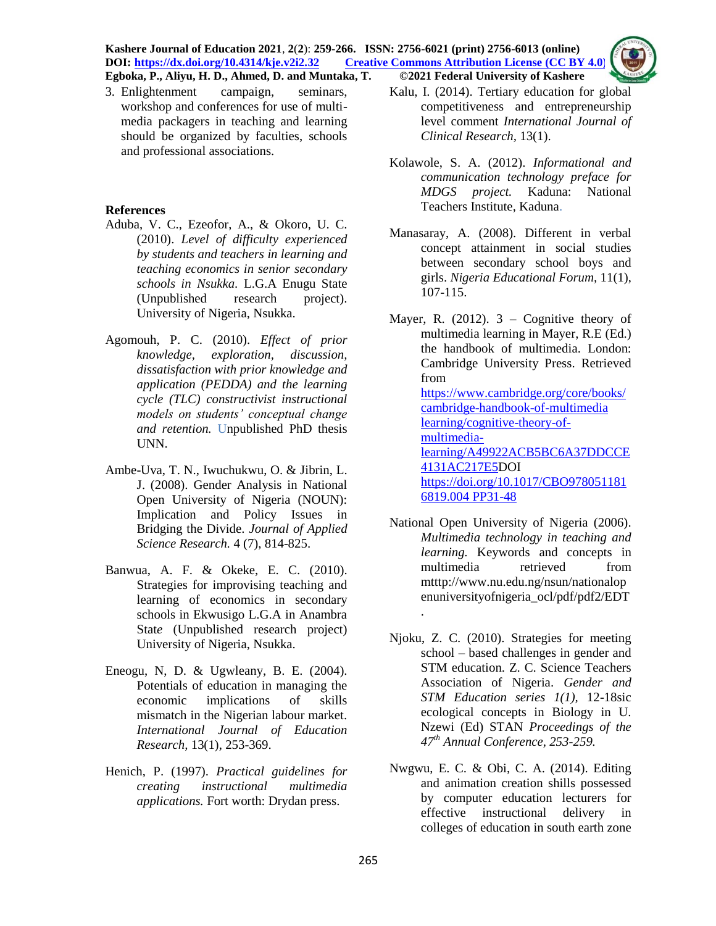#### **Kashere Journal of Education 2021**, **2**(**2**): **259-266. ISSN: 2756-6021 (print) 2756-6013 (online) DOI: <https://dx.doi.org/10.4314/kje.v2i2.32> [Creative Commons Attribution License](http://creativecommons.org/licenses/by/4.0/) (CC BY 4.0) Egboka, P., Aliyu, H. D., Ahmed, D. and Muntaka, T. ©2021 Federal University of Kashere**



3. Enlightenment campaign, seminars, workshop and conferences for use of multimedia packagers in teaching and learning should be organized by faculties, schools

and professional associations.

## **References**

- Aduba, V. C., Ezeofor, A., & Okoro, U. C. (2010). *Level of difficulty experienced by students and teachers in learning and teaching economics in senior secondary schools in Nsukka.* L.G.A Enugu State (Unpublished research project). University of Nigeria, Nsukka.
- Agomouh, P. C. (2010). *Effect of prior knowledge, exploration, discussion, dissatisfaction with prior knowledge and application (PEDDA) and the learning cycle (TLC) constructivist instructional models on students' conceptual change and retention.* Unpublished PhD thesis UNN.
- Ambe-Uva, T. N., Iwuchukwu, O. & Jibrin, L. J. (2008). Gender Analysis in National Open University of Nigeria (NOUN): Implication and Policy Issues in Bridging the Divide. *Journal of Applied Science Research.* 4 (7), 814-825.
- Banwua, A. F. & Okeke, E. C. (2010). Strategies for improvising teaching and learning of economics in secondary schools in Ekwusigo L.G.A in Anambra Stat*e* (Unpublished research project) University of Nigeria, Nsukka.
- Eneogu, N, D. & Ugwleany, B. E. (2004). Potentials of education in managing the economic implications of skills mismatch in the Nigerian labour market. *International Journal of Education Research,* 13(1), 253-369.
- Henich, P. (1997). *Practical guidelines for creating instructional multimedia applications.* Fort worth: Drydan press.
- Kalu, I. (2014). Tertiary education for global competitiveness and entrepreneurship level comment *International Journal of Clinical Research,* 13(1).
- Kolawole, S. A. (2012). *Informational and communication technology preface for MDGS project.* Kaduna: National Teachers Institute, Kaduna.
- Manasaray, A. (2008). Different in verbal concept attainment in social studies between secondary school boys and girls. *Nigeria Educational Forum,* 11(1), 107-115.
- Mayer, R. (2012).  $3 -$  Cognitive theory of multimedia learning in Mayer, R.E (Ed.) the handbook of multimedia. London: Cambridge University Press. Retrieved from [https://www.cambridge.org/core/books/](https://www.cambridge.org/core/books/cambridge-handbook-of-multimedia%20learning/cognitive-theory-of-multimedia-%20learning/A49922ACB5BC6A37DDCCE4131AC217E5) [cambridge-handbook-of-multimedia](https://www.cambridge.org/core/books/cambridge-handbook-of-multimedia%20learning/cognitive-theory-of-multimedia-%20learning/A49922ACB5BC6A37DDCCE4131AC217E5)  [learning/cognitive-theory-of](https://www.cambridge.org/core/books/cambridge-handbook-of-multimedia%20learning/cognitive-theory-of-multimedia-%20learning/A49922ACB5BC6A37DDCCE4131AC217E5)[multimedia](https://www.cambridge.org/core/books/cambridge-handbook-of-multimedia%20learning/cognitive-theory-of-multimedia-%20learning/A49922ACB5BC6A37DDCCE4131AC217E5)[learning/A49922ACB5BC6A37DDCCE](https://www.cambridge.org/core/books/cambridge-handbook-of-multimedia%20learning/cognitive-theory-of-multimedia-%20learning/A49922ACB5BC6A37DDCCE4131AC217E5) [4131AC217E5D](https://www.cambridge.org/core/books/cambridge-handbook-of-multimedia%20learning/cognitive-theory-of-multimedia-%20learning/A49922ACB5BC6A37DDCCE4131AC217E5)OI [https://doi.org/10.1017/CBO978051181](https://doi.org/10.1017/CBO9780511816819.004%20PP31-48) [6819.004 PP31-48](https://doi.org/10.1017/CBO9780511816819.004%20PP31-48)
- National Open University of Nigeria (2006). *Multimedia technology in teaching and learning.* Keywords and concepts in multimedia retrieved from mtttp://www.nu.edu.ng/nsun/nationalop enuniversityofnigeria\_ocl/pdf/pdf2/EDT .
- Njoku, Z. C. (2010). Strategies for meeting school – based challenges in gender and STM education. Z. C. Science Teachers Association of Nigeria. *Gender and STM Education series 1(1),* 12-18sic ecological concepts in Biology in U. Nzewi (Ed) STAN *Proceedings of the 47th Annual Conference, 253-259.*
- Nwgwu, E. C. & Obi, C. A. (2014). Editing and animation creation shills possessed by computer education lecturers for effective instructional delivery in colleges of education in south earth zone